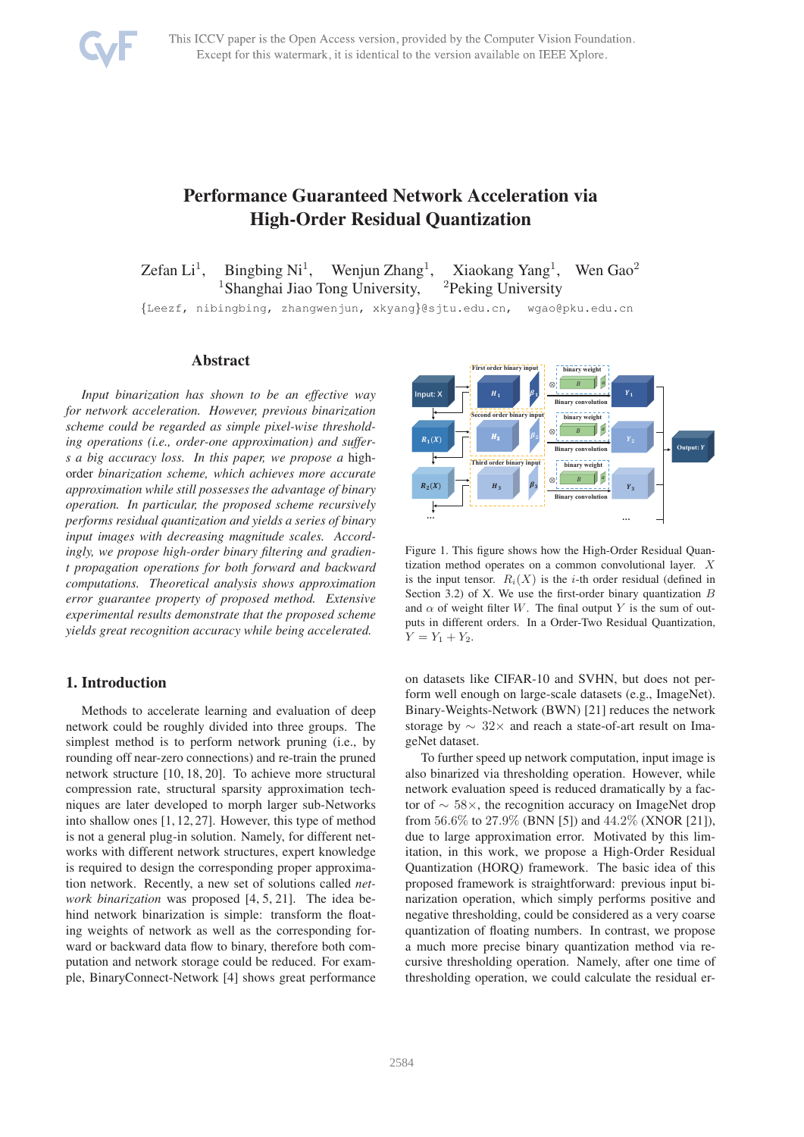

# Performance Guaranteed Network Acceleration via High-Order Residual Quantization

Zefan  $Li<sup>1</sup>$ , Bingbing  $Ni<sup>1</sup>$ , Wenjun  $Zhang<sup>1</sup>$ , Xiaokang Yang<sup>1</sup>, Wen  $Gao<sup>2</sup>$ <sup>1</sup>Shanghai Jiao Tong University,  $2P$ eking University

{Leezf, nibingbing, zhangwenjun, xkyang}@sjtu.edu.cn, wgao@pku.edu.cn

## Abstract

*Input binarization has shown to be an effective way for network acceleration. However, previous binarization scheme could be regarded as simple pixel-wise thresholding operations (i.e., order-one approximation) and suffers a big accuracy loss. In this paper, we propose a* highorder *binarization scheme, which achieves more accurate approximation while still possesses the advantage of binary operation. In particular, the proposed scheme recursively performs residual quantization and yields a series of binary input images with decreasing magnitude scales. Accordingly, we propose high-order binary filtering and gradient propagation operations for both forward and backward computations. Theoretical analysis shows approximation error guarantee property of proposed method. Extensive experimental results demonstrate that the proposed scheme yields great recognition accuracy while being accelerated.*

## 1. Introduction

Methods to accelerate learning and evaluation of deep network could be roughly divided into three groups. The simplest method is to perform network pruning (i.e., by rounding off near-zero connections) and re-train the pruned network structure [10, 18, 20]. To achieve more structural compression rate, structural sparsity approximation techniques are later developed to morph larger sub-Networks into shallow ones [1, 12, 27]. However, this type of method is not a general plug-in solution. Namely, for different networks with different network structures, expert knowledge is required to design the corresponding proper approximation network. Recently, a new set of solutions called *network binarization* was proposed [4, 5, 21]. The idea behind network binarization is simple: transform the floating weights of network as well as the corresponding forward or backward data flow to binary, therefore both computation and network storage could be reduced. For example, BinaryConnect-Network [4] shows great performance



Figure 1. This figure shows how the High-Order Residual Quantization method operates on a common convolutional layer. X is the input tensor.  $R_i(X)$  is the *i*-th order residual (defined in Section 3.2) of X. We use the first-order binary quantization  $B$ and  $\alpha$  of weight filter W. The final output Y is the sum of outputs in different orders. In a Order-Two Residual Quantization,  $Y = Y_1 + Y_2.$ 

on datasets like CIFAR-10 and SVHN, but does not perform well enough on large-scale datasets (e.g., ImageNet). Binary-Weights-Network (BWN) [21] reduces the network storage by ∼ 32× and reach a state-of-art result on ImageNet dataset.

To further speed up network computation, input image is also binarized via thresholding operation. However, while network evaluation speed is reduced dramatically by a factor of ∼ 58×, the recognition accuracy on ImageNet drop from 56.6% to 27.9% (BNN [5]) and  $44.2\%$  (XNOR [21]), due to large approximation error. Motivated by this limitation, in this work, we propose a High-Order Residual Quantization (HORQ) framework. The basic idea of this proposed framework is straightforward: previous input binarization operation, which simply performs positive and negative thresholding, could be considered as a very coarse quantization of floating numbers. In contrast, we propose a much more precise binary quantization method via recursive thresholding operation. Namely, after one time of thresholding operation, we could calculate the residual er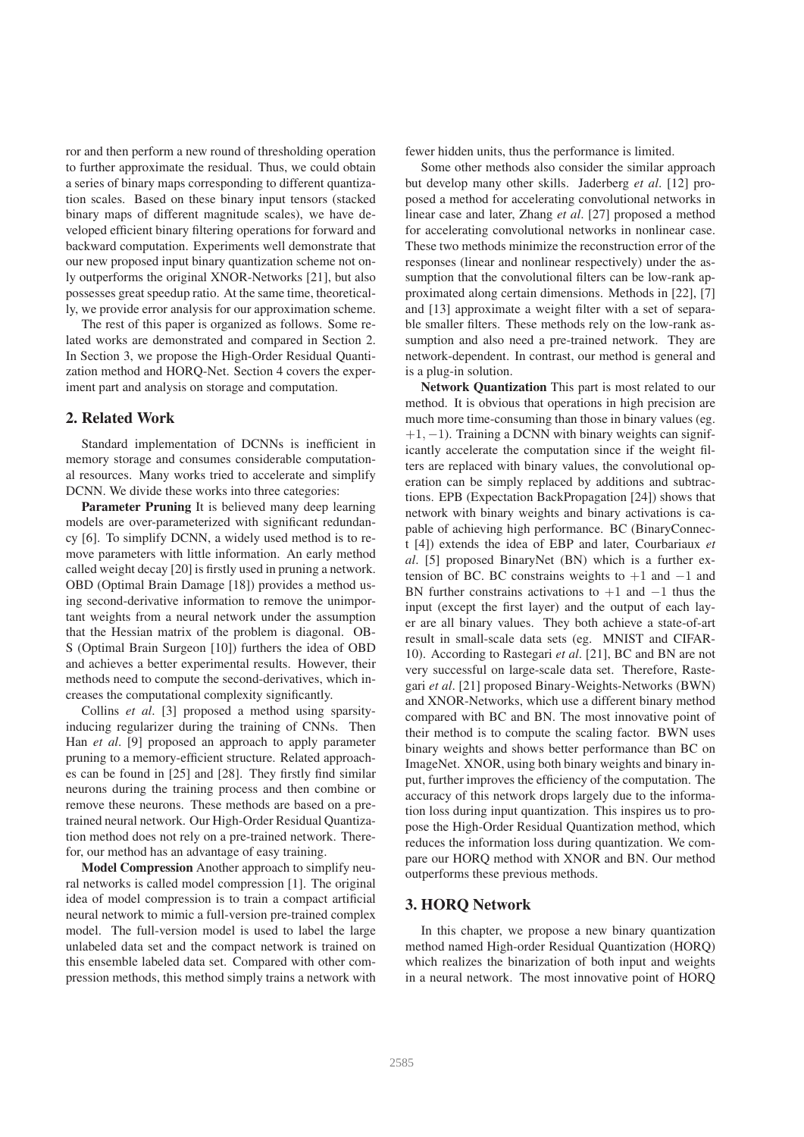ror and then perform a new round of thresholding operation to further approximate the residual. Thus, we could obtain a series of binary maps corresponding to different quantization scales. Based on these binary input tensors (stacked binary maps of different magnitude scales), we have developed efficient binary filtering operations for forward and backward computation. Experiments well demonstrate that our new proposed input binary quantization scheme not only outperforms the original XNOR-Networks [21], but also possesses great speedup ratio. At the same time, theoretically, we provide error analysis for our approximation scheme.

The rest of this paper is organized as follows. Some related works are demonstrated and compared in Section 2. In Section 3, we propose the High-Order Residual Quantization method and HORQ-Net. Section 4 covers the experiment part and analysis on storage and computation.

## 2. Related Work

Standard implementation of DCNNs is inefficient in memory storage and consumes considerable computational resources. Many works tried to accelerate and simplify DCNN. We divide these works into three categories:

Parameter Pruning It is believed many deep learning models are over-parameterized with significant redundancy [6]. To simplify DCNN, a widely used method is to remove parameters with little information. An early method called weight decay [20] is firstly used in pruning a network. OBD (Optimal Brain Damage [18]) provides a method using second-derivative information to remove the unimportant weights from a neural network under the assumption that the Hessian matrix of the problem is diagonal. OB-S (Optimal Brain Surgeon [10]) furthers the idea of OBD and achieves a better experimental results. However, their methods need to compute the second-derivatives, which increases the computational complexity significantly.

Collins *et al*. [3] proposed a method using sparsityinducing regularizer during the training of CNNs. Then Han *et al*. [9] proposed an approach to apply parameter pruning to a memory-efficient structure. Related approaches can be found in [25] and [28]. They firstly find similar neurons during the training process and then combine or remove these neurons. These methods are based on a pretrained neural network. Our High-Order Residual Quantization method does not rely on a pre-trained network. Therefor, our method has an advantage of easy training.

Model Compression Another approach to simplify neural networks is called model compression [1]. The original idea of model compression is to train a compact artificial neural network to mimic a full-version pre-trained complex model. The full-version model is used to label the large unlabeled data set and the compact network is trained on this ensemble labeled data set. Compared with other compression methods, this method simply trains a network with fewer hidden units, thus the performance is limited.

Some other methods also consider the similar approach but develop many other skills. Jaderberg *et al*. [12] proposed a method for accelerating convolutional networks in linear case and later, Zhang *et al*. [27] proposed a method for accelerating convolutional networks in nonlinear case. These two methods minimize the reconstruction error of the responses (linear and nonlinear respectively) under the assumption that the convolutional filters can be low-rank approximated along certain dimensions. Methods in [22], [7] and [13] approximate a weight filter with a set of separable smaller filters. These methods rely on the low-rank assumption and also need a pre-trained network. They are network-dependent. In contrast, our method is general and is a plug-in solution.

Network Quantization This part is most related to our method. It is obvious that operations in high precision are much more time-consuming than those in binary values (eg.  $+1, -1$ ). Training a DCNN with binary weights can significantly accelerate the computation since if the weight filters are replaced with binary values, the convolutional operation can be simply replaced by additions and subtractions. EPB (Expectation BackPropagation [24]) shows that network with binary weights and binary activations is capable of achieving high performance. BC (BinaryConnect [4]) extends the idea of EBP and later, Courbariaux *et al*. [5] proposed BinaryNet (BN) which is a further extension of BC. BC constrains weights to  $+1$  and  $-1$  and BN further constrains activations to  $+1$  and  $-1$  thus the input (except the first layer) and the output of each layer are all binary values. They both achieve a state-of-art result in small-scale data sets (eg. MNIST and CIFAR-10). According to Rastegari *et al*. [21], BC and BN are not very successful on large-scale data set. Therefore, Rastegari *et al*. [21] proposed Binary-Weights-Networks (BWN) and XNOR-Networks, which use a different binary method compared with BC and BN. The most innovative point of their method is to compute the scaling factor. BWN uses binary weights and shows better performance than BC on ImageNet. XNOR, using both binary weights and binary input, further improves the efficiency of the computation. The accuracy of this network drops largely due to the information loss during input quantization. This inspires us to propose the High-Order Residual Quantization method, which reduces the information loss during quantization. We compare our HORQ method with XNOR and BN. Our method outperforms these previous methods.

#### 3. HORQ Network

In this chapter, we propose a new binary quantization method named High-order Residual Quantization (HORQ) which realizes the binarization of both input and weights in a neural network. The most innovative point of HORQ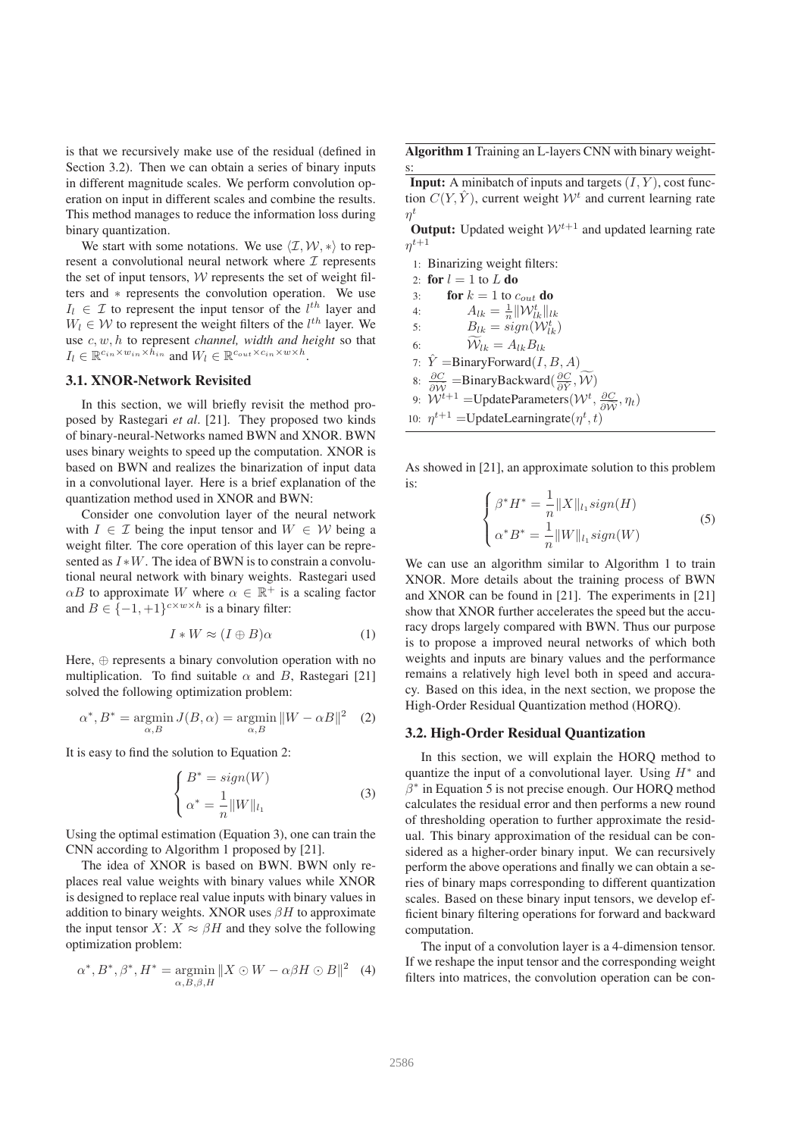is that we recursively make use of the residual (defined in Section 3.2). Then we can obtain a series of binary inputs in different magnitude scales. We perform convolution operation on input in different scales and combine the results. This method manages to reduce the information loss during binary quantization.

We start with some notations. We use  $\langle \mathcal{I}, \mathcal{W}, * \rangle$  to represent a convolutional neural network where  $\mathcal I$  represents the set of input tensors,  $W$  represents the set of weight filters and ∗ represents the convolution operation. We use  $I_l \in \mathcal{I}$  to represent the input tensor of the  $l^{th}$  layer and  $W_l \in \mathcal{W}$  to represent the weight filters of the  $l^{th}$  layer. We use c, w, h to represent *channel, width and height* so that  $I_l \in \mathbb{R}^{c_{in} \times w_{in} \times \bar{h}_{in}}$  and  $W_l \in \mathbb{R}^{c_{out} \times c_{in} \times w \times h}$ .

## 3.1. XNOR-Network Revisited

In this section, we will briefly revisit the method proposed by Rastegari *et al*. [21]. They proposed two kinds of binary-neural-Networks named BWN and XNOR. BWN uses binary weights to speed up the computation. XNOR is based on BWN and realizes the binarization of input data in a convolutional layer. Here is a brief explanation of the quantization method used in XNOR and BWN:

Consider one convolution layer of the neural network with  $I \in \mathcal{I}$  being the input tensor and  $W \in \mathcal{W}$  being a weight filter. The core operation of this layer can be represented as  $I*W$ . The idea of BWN is to constrain a convolutional neural network with binary weights. Rastegari used  $\alpha B$  to approximate W where  $\alpha \in \mathbb{R}^+$  is a scaling factor and  $B \in \{-1, +1\}^{c \times w \times h}$  is a binary filter:

$$
I * W \approx (I \oplus B)\alpha \tag{1}
$$

Here,  $\Leftrightarrow$  represents a binary convolution operation with no multiplication. To find suitable  $\alpha$  and  $B$ , Rastegari [21] solved the following optimization problem:

$$
\alpha^*, B^* = \underset{\alpha, B}{\text{argmin}} J(B, \alpha) = \underset{\alpha, B}{\text{argmin}} ||W - \alpha B||^2 \quad (2)
$$

It is easy to find the solution to Equation 2:

$$
\begin{cases}\nB^* = sign(W) \\
\alpha^* = \frac{1}{n} ||W||_{l_1}\n\end{cases} \tag{3}
$$

Using the optimal estimation (Equation 3), one can train the CNN according to Algorithm 1 proposed by [21].

The idea of XNOR is based on BWN. BWN only replaces real value weights with binary values while XNOR is designed to replace real value inputs with binary values in addition to binary weights. XNOR uses  $\beta H$  to approximate the input tensor  $X: X \approx \beta H$  and they solve the following optimization problem:

$$
\alpha^*, B^*, \beta^*, H^* = \underset{\alpha, B, \beta, H}{\text{argmin}} \|X \odot W - \alpha \beta H \odot B\|^2 \quad (4)
$$

Algorithm 1 Training an L-layers CNN with binary weights:

**Input:** A minibatch of inputs and targets  $(I, Y)$ , cost function  $C(Y, \hat{Y})$ , current weight  $\mathcal{W}^t$  and current learning rate  $\eta^t$ 

**Output:** Updated weight  $W^{t+1}$  and updated learning rate  $\eta^{t+1}$ 

1: Binarizing weight filters: 2: for  $l = 1$  to  $L$  do 3: **for**  $k = 1$  to  $c_{out}$  **do** 4:  $A_{lk} = \frac{1}{n} ||\mathcal{W}_{lk}^{t}||_{lk}$ 5:  $B_{lk} = sign(\mathcal{W}_{lk}^t)$ 6:  $\mathcal{W}_{lk} = A_{lk}B_{lk}$ 7:  $\hat{Y} = \text{BinaryForward}(I, B, A)$ 8:  $\frac{\partial C}{\partial \widetilde{W}}$  =BinaryBackward( $\frac{\partial C}{\partial \hat{Y}}, \widetilde{W}$ ) 9:  $W^{t+1}$  =UpdateParameters( $W^{t}$ ,  $\frac{\partial C}{\partial \widetilde{W}}$ ,  $\eta_t$ ) 10:  $\eta^{t+1}$  = UpdateLearningrate $(\eta^t, t)$ 

As showed in [21], an approximate solution to this problem is:

$$
\begin{cases}\n\beta^* H^* = \frac{1}{n} \|X\|_{l_1} sign(H) \\
\alpha^* B^* = \frac{1}{n} \|W\|_{l_1} sign(W)\n\end{cases} \tag{5}
$$

We can use an algorithm similar to Algorithm 1 to train XNOR. More details about the training process of BWN and XNOR can be found in [21]. The experiments in [21] show that XNOR further accelerates the speed but the accuracy drops largely compared with BWN. Thus our purpose is to propose a improved neural networks of which both weights and inputs are binary values and the performance remains a relatively high level both in speed and accuracy. Based on this idea, in the next section, we propose the High-Order Residual Quantization method (HORQ).

#### 3.2. High-Order Residual Quantization

In this section, we will explain the HORQ method to quantize the input of a convolutional layer. Using  $H^*$  and  $\hat{\beta}^*$  in Equation 5 is not precise enough. Our HORQ method calculates the residual error and then performs a new round of thresholding operation to further approximate the residual. This binary approximation of the residual can be considered as a higher-order binary input. We can recursively perform the above operations and finally we can obtain a series of binary maps corresponding to different quantization scales. Based on these binary input tensors, we develop efficient binary filtering operations for forward and backward computation.

The input of a convolution layer is a 4-dimension tensor. If we reshape the input tensor and the corresponding weight filters into matrices, the convolution operation can be con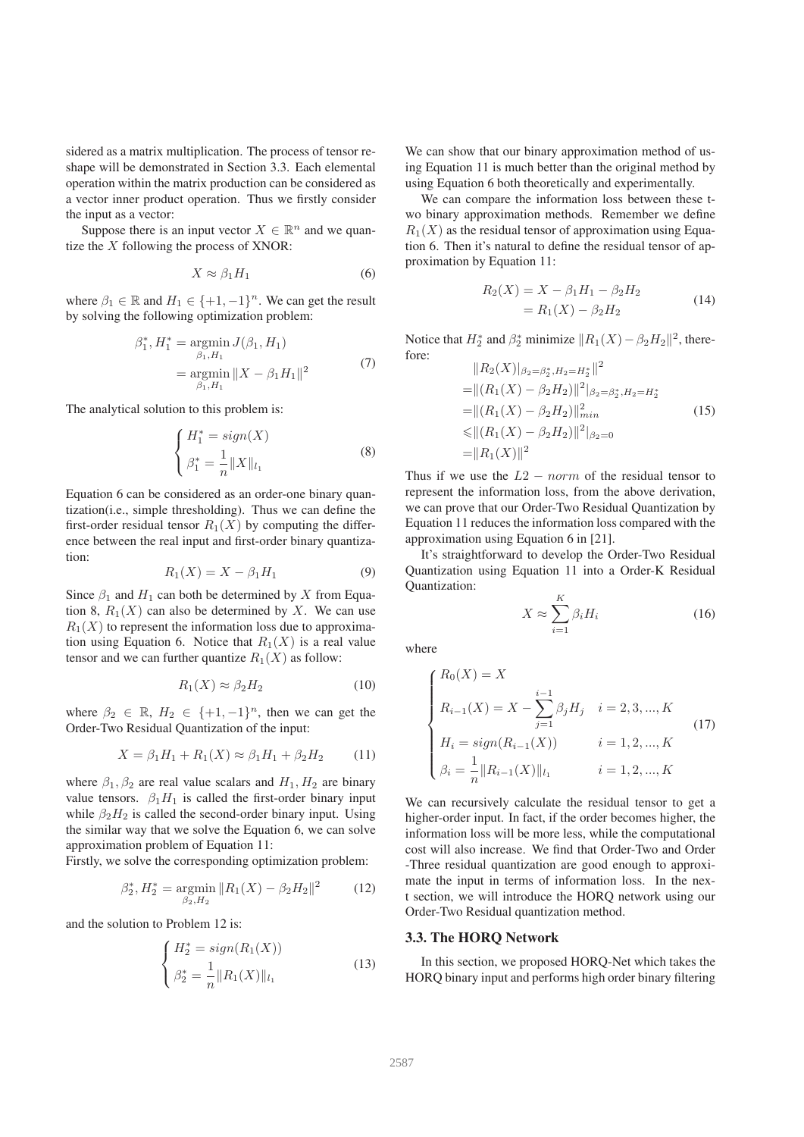sidered as a matrix multiplication. The process of tensor reshape will be demonstrated in Section 3.3. Each elemental operation within the matrix production can be considered as a vector inner product operation. Thus we firstly consider the input as a vector:

Suppose there is an input vector  $X \in \mathbb{R}^n$  and we quantize the X following the process of XNOR:

$$
X \approx \beta_1 H_1 \tag{6}
$$

where  $\beta_1 \in \mathbb{R}$  and  $H_1 \in \{+1, -1\}^n$ . We can get the result by solving the following optimization problem:

$$
\beta_1^*, H_1^* = \operatorname*{argmin}_{\beta_1, H_1} J(\beta_1, H_1)
$$
  
= 
$$
\operatorname*{argmin}_{\beta_1, H_1} \|X - \beta_1 H_1\|^2
$$
(7)

The analytical solution to this problem is:

$$
\begin{cases}\nH_1^* = sign(X) \\
\beta_1^* = \frac{1}{n} ||X||_{l_1}\n\end{cases} \tag{8}
$$

Equation 6 can be considered as an order-one binary quantization(i.e., simple thresholding). Thus we can define the first-order residual tensor  $R_1(X)$  by computing the difference between the real input and first-order binary quantization:

$$
R_1(X) = X - \beta_1 H_1 \tag{9}
$$

Since  $\beta_1$  and  $H_1$  can both be determined by X from Equation 8,  $R_1(X)$  can also be determined by X. We can use  $R_1(X)$  to represent the information loss due to approximation using Equation 6. Notice that  $R_1(X)$  is a real value tensor and we can further quantize  $R_1(X)$  as follow:

$$
R_1(X) \approx \beta_2 H_2 \tag{10}
$$

where  $\beta_2 \in \mathbb{R}$ ,  $H_2 \in \{+1, -1\}^n$ , then we can get the Order-Two Residual Quantization of the input:

$$
X = \beta_1 H_1 + R_1(X) \approx \beta_1 H_1 + \beta_2 H_2 \tag{11}
$$

where  $\beta_1, \beta_2$  are real value scalars and  $H_1, H_2$  are binary value tensors.  $\beta_1 H_1$  is called the first-order binary input while  $\beta_2H_2$  is called the second-order binary input. Using the similar way that we solve the Equation 6, we can solve approximation problem of Equation 11:

Firstly, we solve the corresponding optimization problem:

$$
\beta_2^*, H_2^* = \underset{\beta_2, H_2}{\text{argmin}} \|R_1(X) - \beta_2 H_2\|^2 \tag{12}
$$

and the solution to Problem 12 is:

$$
\begin{cases}\nH_2^* = sign(R_1(X)) \\
\beta_2^* = \frac{1}{n} ||R_1(X)||_{l_1}\n\end{cases}
$$
\n(13)

We can show that our binary approximation method of using Equation 11 is much better than the original method by using Equation 6 both theoretically and experimentally.

We can compare the information loss between these two binary approximation methods. Remember we define  $R_1(X)$  as the residual tensor of approximation using Equation 6. Then it's natural to define the residual tensor of approximation by Equation 11:

$$
R_2(X) = X - \beta_1 H_1 - \beta_2 H_2
$$
  
=  $R_1(X) - \beta_2 H_2$  (14)

Notice that  $H_2^*$  and  $\beta_2^*$  minimize  $||R_1(X) - \beta_2 H_2||^2$ , therefore:  $\parallel$ *D*  $(\parallel$ <sup>2</sup> $)\parallel$ 

$$
||R_2(X)|_{\beta_2=\beta_2^*, H_2=H_2^*}||^2
$$
  
=  $||(R_1(X) - \beta_2 H_2)||^2|_{\beta_2=\beta_2^*, H_2=H_2^*}$   
=  $||(R_1(X) - \beta_2 H_2)||_{min}^2$   
 $\leq ||(R_1(X) - \beta_2 H_2)||^2|_{\beta_2=0}$   
=  $||R_1(X)||^2$  (15)

Thus if we use the  $L2-norm$  of the residual tensor to represent the information loss, from the above derivation, we can prove that our Order-Two Residual Quantization by Equation 11 reduces the information loss compared with the approximation using Equation 6 in [21].

It's straightforward to develop the Order-Two Residual Quantization using Equation 11 into a Order-K Residual Quantization:

$$
X \approx \sum_{i=1}^{K} \beta_i H_i \tag{16}
$$

where

$$
\begin{cases}\nR_0(X) = X \\
R_{i-1}(X) = X - \sum_{j=1}^{i-1} \beta_j H_j & i = 2, 3, ..., K \\
H_i = sign(R_{i-1}(X)) & i = 1, 2, ..., K \\
\beta_i = \frac{1}{n} ||R_{i-1}(X)||_{l_1} & i = 1, 2, ..., K\n\end{cases}
$$
\n(17)

We can recursively calculate the residual tensor to get a higher-order input. In fact, if the order becomes higher, the information loss will be more less, while the computational cost will also increase. We find that Order-Two and Order -Three residual quantization are good enough to approximate the input in terms of information loss. In the next section, we will introduce the HORQ network using our Order-Two Residual quantization method.

#### 3.3. The HORQ Network

In this section, we proposed HORQ-Net which takes the HORQ binary input and performs high order binary filtering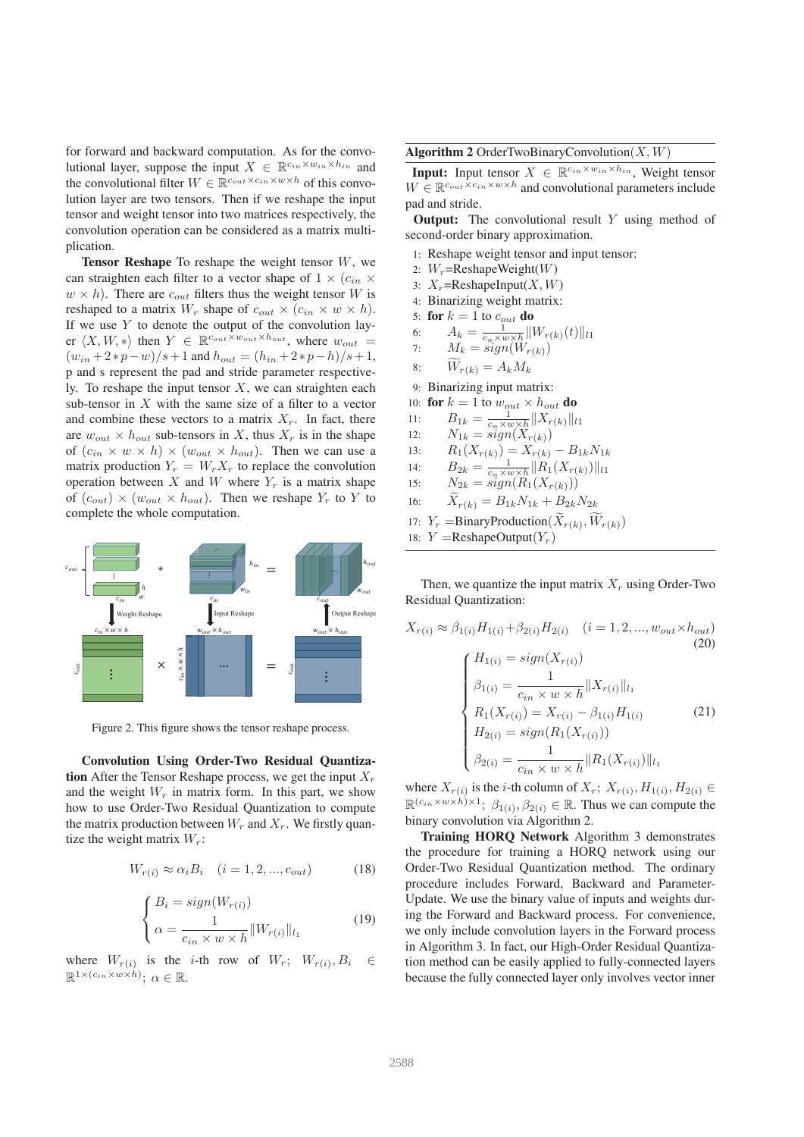for forward and backward computation. As for the convolutional layer, suppose the input  $X \in \mathbb{R}^{c_{in} \times w_{in} \times h_{in}}$  and the convolutional filter  $W \in \mathbb{R}^{c_{out} \times c_{in} \times w \times h}$  of this convolution layer are two tensors. Then if we reshape the input tensor and weight tensor into two matrices respectively, the convolution operation can be considered as a matrix multiplication.

**Tensor Reshape** To reshape the weight tensor  $W$ , we can straighten each filter to a vector shape of  $1 \times (c_{in} \times$  $w \times h$ ). There are  $c_{out}$  filters thus the weight tensor W is reshaped to a matrix  $W_r$  shape of  $c_{out} \times (c_{in} \times w \times h)$ . If we use  $Y$  to denote the output of the convolution layer  $\langle X, W, * \rangle$  then  $Y \in \mathbb{R}^{c_{out} \times h_{out}}$ , where  $w_{out} =$  $(w_{in} + 2*p - w)/s + 1$  and  $h_{out} = (h_{in} + 2*p - h)/s + 1$ , p and s represent the pad and stride parameter respectively. To reshape the input tensor  $X$ , we can straighten each sub-tensor in  $X$  with the same size of a filter to a vector and combine these vectors to a matrix  $X_r$ . In fact, there are  $w_{out} \times h_{out}$  sub-tensors in X, thus  $X_r$  is in the shape of  $(c_{in} \times w \times h) \times (w_{out} \times h_{out})$ . Then we can use a matrix production  $Y_r = W_r X_r$  to replace the convolution operation between X and W where  $Y_r$  is a matrix shape of  $(c_{out}) \times (w_{out} \times h_{out})$ . Then we reshape  $Y_r$  to Y to complete the whole computation.



Figure 2. This figure shows the tensor reshape process.

Convolution Using Order-Two Residual Quantization After the Tensor Reshape process, we get the input  $X<sub>r</sub>$ and the weight  $W_r$  in matrix form. In this part, we show how to use Order-Two Residual Quantization to compute the matrix production between  $W_r$  and  $X_r$ . We firstly quantize the weight matrix  $W_r$ :

$$
W_{r(i)} \approx \alpha_i B_i \quad (i = 1, 2, \dots, c_{out}) \tag{18}
$$

$$
\begin{cases}\nB_i = sign(W_{r(i)}) \\
\alpha = \frac{1}{c_{in} \times w \times h} ||W_{r(i)}||_{l_1}\n\end{cases}
$$
\n(19)

where  $W_{r(i)}$  is the *i*-th row of  $W_r$ ;  $W_{r(i)}$ ,  $B_i \in$  $\mathbb{R}^{1\times (c_{in}\times w\times h)}$ ;  $\alpha \in \mathbb{R}$ .

Algorithm 2 OrderTwoBinaryConvolution $(X, W)$ 

**Input:** Input tensor  $X \in \mathbb{R}^{c_{in} \times w_{in} \times h_{in}}$ , Weight tensor  $W \in \mathbb{R}^{c_{out} \times c_{in} \times w \times h}$  and convolutional parameters include pad and stride.

**Output:** The convolutional result  $Y$  using method of second-order binary approximation.

- 1: Reshape weight tensor and input tensor:
- 2:  $W_r$ =ReshapeWeight $(W)$
- 3:  $X_r$ =ReshapeInput( $X, W$ )
- 4: Binarizing weight matrix:
- 5: for  $k = 1$  to  $c_{out}$  do

6: 
$$
A_k = \frac{1}{c_n \times w \times h} ||W_{r(k)}(t)||_{l1}
$$

7: 
$$
M_k = sign(W_{r(k)})
$$

- 8:  $\widetilde{W}_{r(k)} = A_k M_k$
- 9: Binarizing input matrix:
- 10: **for**  $k = 1$  to  $w_{out} \times h_{out}$  **do**
- 11:  $B_{1k} = \frac{1}{c_n \times w \times h} \|X_{r(k)}\|_{l_1}$
- 12:  $N_{1k} = sign(X_{r(k)})$
- 13:  $R_1(X_{r(k)}) = X_{r(k)} B_{1k}N_{1k}$
- 14:  $B_{2k} = \frac{1}{c_n \times w \times h} ||R_1(X_{r(k)})||_{l1}$
- 15:  $N_{2k} = sign(R_1(X_{r(k)}))$
- 16:  $X_{r(k)} = B_{1k} N_{1k} + B_{2k} N_{2k}$
- 17:  $Y_r = \text{BinaryProduction}(X_{r(k)}, W_{r(k)})$

18:  $Y =$ ReshapeOutput $(Y_r)$ 

Then, we quantize the input matrix  $X_r$  using Order-Two Residual Quantization:

$$
X_{r(i)} \approx \beta_{1(i)} H_{1(i)} + \beta_{2(i)} H_{2(i)} \quad (i = 1, 2, ..., w_{out} \times h_{out})
$$
\n(20)\n
$$
\begin{cases}\nH_{1(i)} = sign(X_{r(i)}) \\
\beta_{1(i)} = \frac{1}{c_{in} \times w \times h} \|X_{r(i)}\|_{l_1} \\
R_1(X_{r(i)}) = X_{r(i)} - \beta_{1(i)} H_{1(i)} \\
H_{2(i)} = sign(R_1(X_{r(i)})) \\
\beta_{2(i)} = \frac{1}{c_{in} \times w \times h} \|R_1(X_{r(i)})\|_{l_1}\n\end{cases}
$$
\n(21)

where  $X_{r(i)}$  is the *i*-th column of  $X_r$ ;  $X_{r(i)}$ ,  $H_{1(i)}$ ,  $H_{2(i)} \in$  $\mathbb{R}^{(c_{in} \times w \times h) \times 1}$ ;  $\beta_{1(i)}, \beta_{2(i)} \in \mathbb{R}$ . Thus we can compute the binary convolution via Algorithm 2.

Training HORQ Network Algorithm 3 demonstrates the procedure for training a HORQ network using our Order-Two Residual Quantization method. The ordinary procedure includes Forward, Backward and Parameter-Update. We use the binary value of inputs and weights during the Forward and Backward process. For convenience, we only include convolution layers in the Forward process in Algorithm 3. In fact, our High-Order Residual Quantization method can be easily applied to fully-connected layers because the fully connected layer only involves vector inner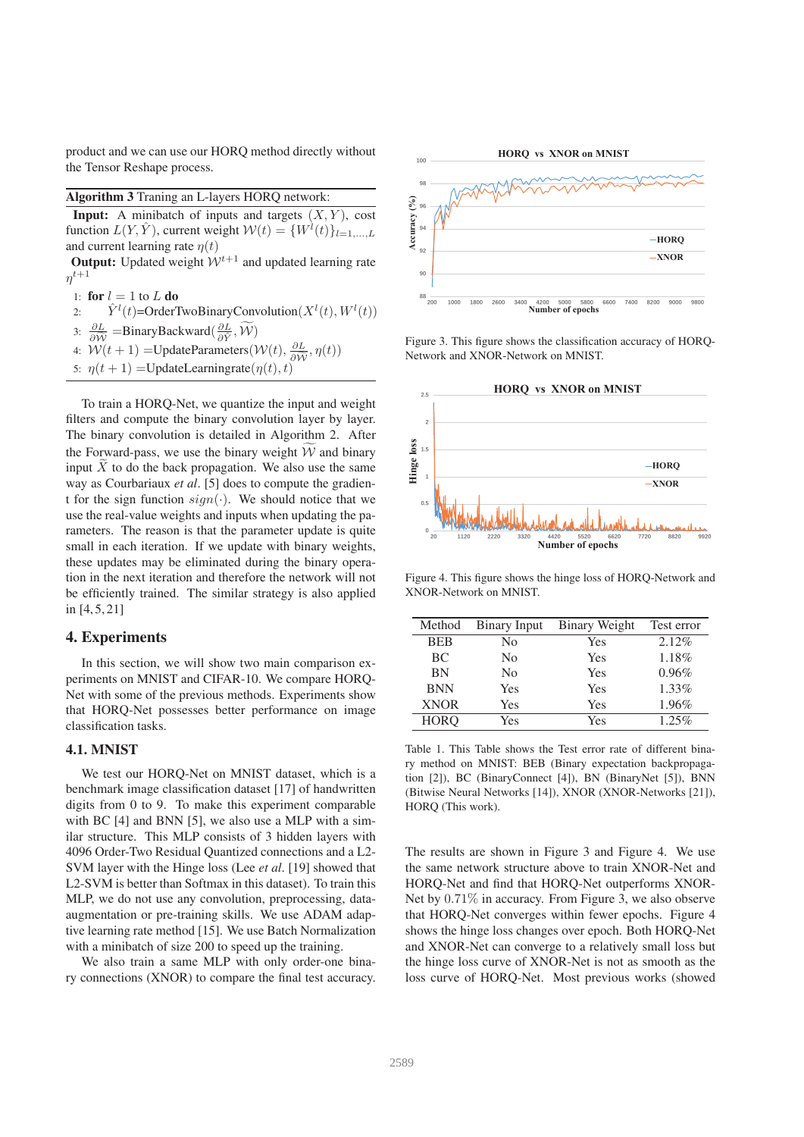product and we can use our HORQ method directly without the Tensor Reshape process.

#### Algorithm 3 Traning an L-layers HORQ network:

**Input:** A minibatch of inputs and targets  $(X, Y)$ , cost function  $L(Y, \hat{Y})$ , current weight  $\mathcal{W}(t) = \{W^{l}(t)\}_{l=1,\dots,L}$ and current learning rate  $\eta(t)$ 

**Output:** Updated weight  $W^{t+1}$  and updated learning rate  $\eta^{t+1}$ 

- 1: for  $l = 1$  to  $L$  do
- 2:  $\hat{Y}^l(t)$ =OrderTwoBinaryConvolution( $X^l(t)$ ,  $W^l(t)$ )
- 3:  $\frac{\partial L}{\partial \hat{W}}$  =BinaryBackward( $\frac{\partial L}{\partial \hat{Y}}, \tilde{W}$ )
- 4:  $W(t+1) = \text{UpdateParameters}(W(t), \frac{\partial L}{\partial \hat{W}}, \eta(t))$
- 5:  $\eta(t+1)$  = UpdateLearningrate $(\eta(t), t)$

To train a HORQ-Net, we quantize the input and weight filters and compute the binary convolution layer by layer. The binary convolution is detailed in Algorithm 2. After the Forward-pass, we use the binary weight  $\widetilde{W}$  and binary input  $\tilde{X}$  to do the back propagation. We also use the same way as Courbariaux *et al*. [5] does to compute the gradient for the sign function  $sign(\cdot)$ . We should notice that we use the real-value weights and inputs when updating the parameters. The reason is that the parameter update is quite small in each iteration. If we update with binary weights, these updates may be eliminated during the binary operation in the next iteration and therefore the network will not be efficiently trained. The similar strategy is also applied in  $[4, 5, 21]$ 

#### 4. Experiments

In this section, we will show two main comparison experiments on MNIST and CIFAR-10. We compare HORQ-Net with some of the previous methods. Experiments show that HORQ-Net possesses better performance on image classification tasks.

# 4.1. MNIST

We test our HORQ-Net on MNIST dataset, which is a benchmark image classification dataset [17] of handwritten digits from 0 to 9. To make this experiment comparable with BC [4] and BNN [5], we also use a MLP with a similar structure. This MLP consists of 3 hidden layers with 4096 Order-Two Residual Quantized connections and a L2- SVM layer with the Hinge loss (Lee *et al*. [19] showed that L2-SVM is better than Softmax in this dataset). To train this MLP, we do not use any convolution, preprocessing, dataaugmentation or pre-training skills. We use ADAM adaptive learning rate method [15]. We use Batch Normalization with a minibatch of size 200 to speed up the training.

We also train a same MLP with only order-one binary connections (XNOR) to compare the final test accuracy.



Figure 3. This figure shows the classification accuracy of HORQ-Network and XNOR-Network on MNIST.



Figure 4. This figure shows the hinge loss of HORQ-Network and XNOR-Network on MNIST.

| Method      | <b>Binary Input</b> | Binary Weight | Test error |
|-------------|---------------------|---------------|------------|
| <b>BEB</b>  | No                  | Yes           | $2.12\%$   |
| BC          | No                  | Yes           | 1.18%      |
| <b>BN</b>   | N <sub>0</sub>      | Yes           | 0.96%      |
| <b>BNN</b>  | Yes                 | Yes           | 1.33%      |
| <b>XNOR</b> | Yes                 | Yes           | 1.96%      |
| <b>HORO</b> | Yes                 | Yes           | 1.25%      |

Table 1. This Table shows the Test error rate of different binary method on MNIST: BEB (Binary expectation backpropagation [2]), BC (BinaryConnect [4]), BN (BinaryNet [5]), BNN (Bitwise Neural Networks [14]), XNOR (XNOR-Networks [21]), HORQ (This work).

The results are shown in Figure 3 and Figure 4. We use the same network structure above to train XNOR-Net and HORQ-Net and find that HORQ-Net outperforms XNOR-Net by 0.71% in accuracy. From Figure 3, we also observe that HORQ-Net converges within fewer epochs. Figure 4 shows the hinge loss changes over epoch. Both HORQ-Net and XNOR-Net can converge to a relatively small loss but the hinge loss curve of XNOR-Net is not as smooth as the loss curve of HORQ-Net. Most previous works (showed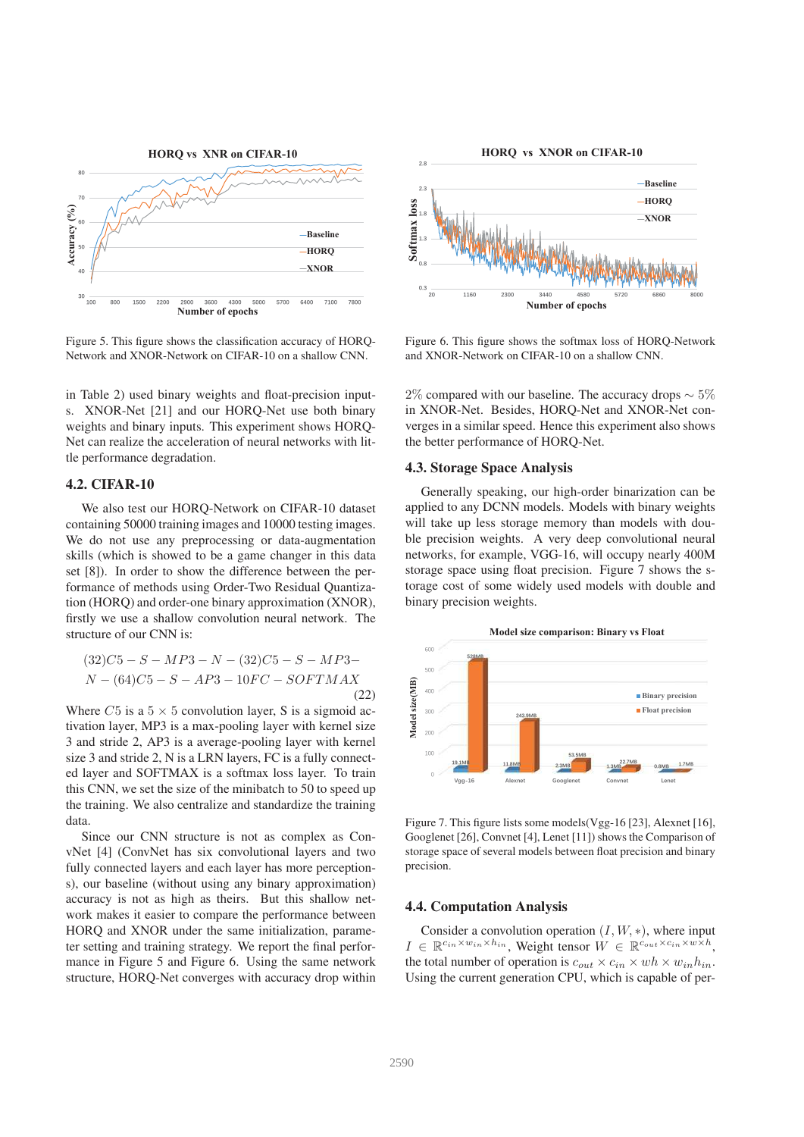

Figure 5. This figure shows the classification accuracy of HORQ-Network and XNOR-Network on CIFAR-10 on a shallow CNN.

in Table 2) used binary weights and float-precision inputs. XNOR-Net [21] and our HORQ-Net use both binary weights and binary inputs. This experiment shows HORQ-Net can realize the acceleration of neural networks with little performance degradation.

#### 4.2. CIFAR-10

We also test our HORQ-Network on CIFAR-10 dataset containing 50000 training images and 10000 testing images. We do not use any preprocessing or data-augmentation skills (which is showed to be a game changer in this data set [8]). In order to show the difference between the performance of methods using Order-Two Residual Quantization (HORQ) and order-one binary approximation (XNOR), firstly we use a shallow convolution neural network. The structure of our CNN is:

$$
(32)C5 - S - MP3 - N - (32)C5 - S - MP3 - N - (64)C5 - S - AP3 - 10FC - SOFTMAX
$$
\n(22)

Where  $C5$  is a  $5 \times 5$  convolution layer, S is a sigmoid activation layer, MP3 is a max-pooling layer with kernel size 3 and stride 2, AP3 is a average-pooling layer with kernel size 3 and stride 2, N is a LRN layers, FC is a fully connected layer and SOFTMAX is a softmax loss layer. To train this CNN, we set the size of the minibatch to 50 to speed up the training. We also centralize and standardize the training data.

Since our CNN structure is not as complex as ConvNet [4] (ConvNet has six convolutional layers and two fully connected layers and each layer has more perceptions), our baseline (without using any binary approximation) accuracy is not as high as theirs. But this shallow network makes it easier to compare the performance between HORQ and XNOR under the same initialization, parameter setting and training strategy. We report the final performance in Figure 5 and Figure 6. Using the same network structure, HORQ-Net converges with accuracy drop within



Figure 6. This figure shows the softmax loss of HORQ-Network and XNOR-Network on CIFAR-10 on a shallow CNN.

2% compared with our baseline. The accuracy drops  $\sim 5\%$ in XNOR-Net. Besides, HORQ-Net and XNOR-Net converges in a similar speed. Hence this experiment also shows the better performance of HORQ-Net.

## 4.3. Storage Space Analysis

Generally speaking, our high-order binarization can be applied to any DCNN models. Models with binary weights will take up less storage memory than models with double precision weights. A very deep convolutional neural networks, for example, VGG-16, will occupy nearly 400M storage space using float precision. Figure 7 shows the storage cost of some widely used models with double and binary precision weights.



Figure 7. This figure lists some models(Vgg-16 [23], Alexnet [16], Googlenet [26], Convnet [4], Lenet [11]) shows the Comparison of storage space of several models between float precision and binary precision.

## 4.4. Computation Analysis

Consider a convolution operation  $(I, W, *)$ , where input  $I \in \mathbb{R}^{c_{in} \times w_{in} \times h_{in}}$ , Weight tensor  $W \in \mathbb{R}^{c_{out} \times c_{in} \times w \times h}$ , the total number of operation is  $c_{out} \times c_{in} \times wh \times w_{in}h_{in}$ . Using the current generation CPU, which is capable of per-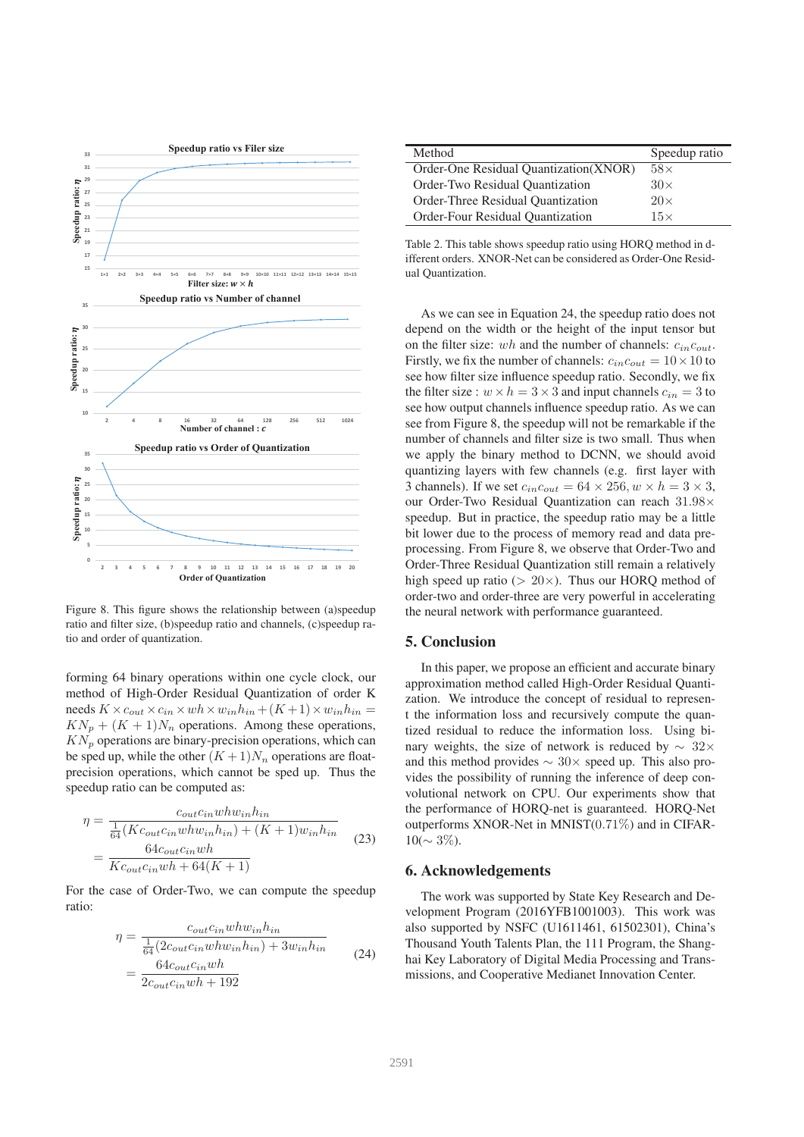

Figure 8. This figure shows the relationship between (a)speedup ratio and filter size, (b)speedup ratio and channels, (c)speedup ratio and order of quantization.

forming 64 binary operations within one cycle clock, our method of High-Order Residual Quantization of order K needs  $K \times c_{out} \times c_{in} \times wh \times w_{in}h_{in} + (K+1) \times w_{in}h_{in} =$  $KN_p + (K + 1)N_n$  operations. Among these operations,  $KN_p$  operations are binary-precision operations, which can be sped up, while the other  $(K + 1)N_n$  operations are floatprecision operations, which cannot be sped up. Thus the speedup ratio can be computed as:

$$
\eta = \frac{c_{out}c_{in}whw_{in}h_{in}}{\frac{1}{64}(Kc_{out}c_{in}whw_{in}h_{in}) + (K+1)w_{in}h_{in}}
$$

$$
= \frac{64c_{out}c_{in}wh}{Kc_{out}c_{in}wh + 64(K+1)}
$$
(23)

For the case of Order-Two, we can compute the speedup ratio:

$$
\eta = \frac{c_{out}c_{in}whw_{in}h_{in}}{\frac{1}{64}(2c_{out}c_{in}whw_{in}h_{in}) + 3w_{in}h_{in}}
$$

$$
= \frac{64c_{out}c_{in}wh}{2c_{out}c_{in}wh + 192}
$$
(24)

| Method                                 | Speedup ratio |
|----------------------------------------|---------------|
| Order-One Residual Quantization (XNOR) | $58\times$    |
| Order-Two Residual Quantization        | $30\times$    |
| Order-Three Residual Quantization      | $20\times$    |
| Order-Four Residual Quantization       | $15\times$    |

Table 2. This table shows speedup ratio using HORQ method in different orders. XNOR-Net can be considered as Order-One Residual Quantization.

As we can see in Equation 24, the speedup ratio does not depend on the width or the height of the input tensor but on the filter size: wh and the number of channels:  $c_{in}c_{out}$ . Firstly, we fix the number of channels:  $c_{in}c_{out} = 10 \times 10$  to see how filter size influence speedup ratio. Secondly, we fix the filter size :  $w \times h = 3 \times 3$  and input channels  $c_{in} = 3$  to see how output channels influence speedup ratio. As we can see from Figure 8, the speedup will not be remarkable if the number of channels and filter size is two small. Thus when we apply the binary method to DCNN, we should avoid quantizing layers with few channels (e.g. first layer with 3 channels). If we set  $c_{in}c_{out} = 64 \times 256$ ,  $w \times h = 3 \times 3$ , our Order-Two Residual Quantization can reach 31.98× speedup. But in practice, the speedup ratio may be a little bit lower due to the process of memory read and data preprocessing. From Figure 8, we observe that Order-Two and Order-Three Residual Quantization still remain a relatively high speed up ratio ( $> 20 \times$ ). Thus our HORQ method of order-two and order-three are very powerful in accelerating the neural network with performance guaranteed.

# 5. Conclusion

In this paper, we propose an efficient and accurate binary approximation method called High-Order Residual Quantization. We introduce the concept of residual to represent the information loss and recursively compute the quantized residual to reduce the information loss. Using binary weights, the size of network is reduced by ∼ 32× and this method provides  $\sim 30 \times$  speed up. This also provides the possibility of running the inference of deep convolutional network on CPU. Our experiments show that the performance of HORQ-net is guaranteed. HORQ-Net outperforms XNOR-Net in MNIST(0.71%) and in CIFAR- $10(\sim 3\%).$ 

## 6. Acknowledgements

The work was supported by State Key Research and Development Program (2016YFB1001003). This work was also supported by NSFC (U1611461, 61502301), China's Thousand Youth Talents Plan, the 111 Program, the Shanghai Key Laboratory of Digital Media Processing and Transmissions, and Cooperative Medianet Innovation Center.